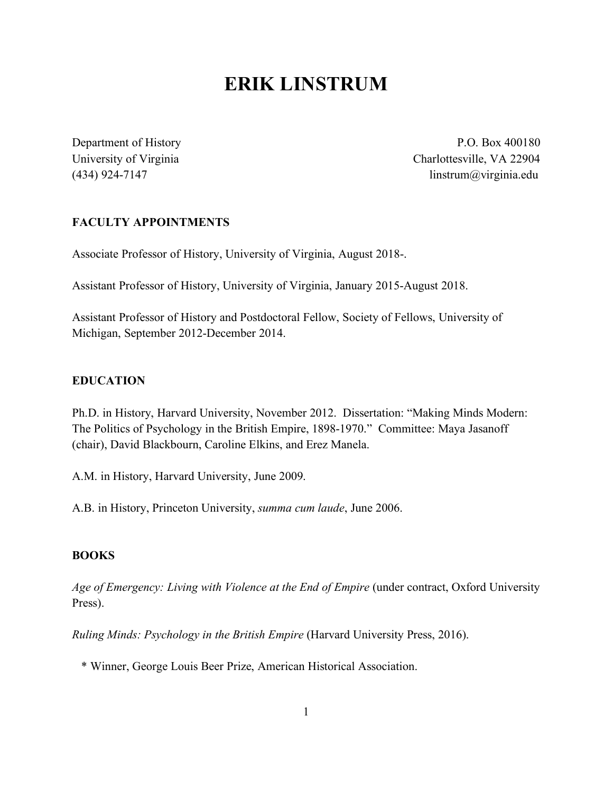# **ERIK LINSTRUM**

Department of History P.O. Box 400180 University of Virginia Charlottesville, VA 22904 (434) 924-7147 linstrum $\omega$ virginia.edu

## **FACULTY APPOINTMENTS**

Associate Professor of History, University of Virginia, August 2018-.

Assistant Professor of History, University of Virginia, January 2015-August 2018.

Assistant Professor of History and Postdoctoral Fellow, Society of Fellows, University of Michigan, September 2012-December 2014.

### **EDUCATION**

Ph.D. in History, Harvard University, November 2012. Dissertation: "Making Minds Modern: The Politics of Psychology in the British Empire, 1898-1970." Committee: Maya Jasanoff (chair), David Blackbourn, Caroline Elkins, and Erez Manela.

A.M. in History, Harvard University, June 2009.

A.B. in History, Princeton University, *summa cum laude*, June 2006.

## **BOOKS**

Age of Emergency: Living with Violence at the End of Empire (under contract, Oxford University Press).

*Ruling Minds: Psychology in the British Empire* (Harvard University Press, 2016).

\* Winner, George Louis Beer Prize, American Historical Association.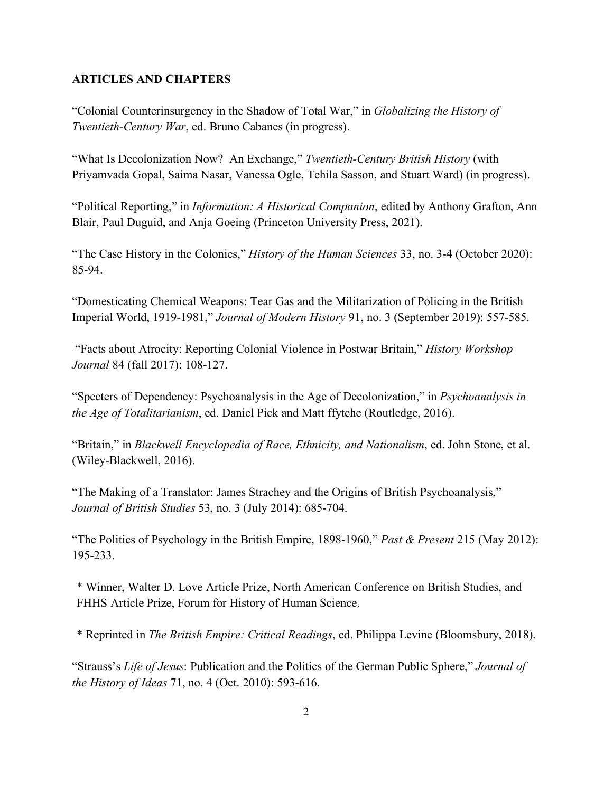## **ARTICLES AND CHAPTERS**

"Colonial Counterinsurgency in the Shadow of Total War," in *Globalizing the History of Twentieth-Century War*, ed. Bruno Cabanes (in progress).

"What Is Decolonization Now? An Exchange," *Twentieth-Century British History* (with Priyamvada Gopal, Saima Nasar, Vanessa Ogle, Tehila Sasson, and Stuart Ward) (in progress).

"Political Reporting," in *Information: A Historical Companion*, edited by Anthony Grafton, Ann Blair, Paul Duguid, and Anja Goeing (Princeton University Press, 2021).

"The Case History in the Colonies," *History of the Human Sciences* 33, no. 3-4 (October 2020): 85-94.

"Domesticating Chemical Weapons: Tear Gas and the Militarization of Policing in the British Imperial World, 1919-1981," *Journal of Modern History* 91, no. 3 (September 2019): 557-585.

"Facts about Atrocity: Reporting Colonial Violence in Postwar Britain," *History Workshop Journal* 84 (fall 2017): 108-127.

"Specters of Dependency: Psychoanalysis in the Age of Decolonization," in *Psychoanalysis in the Age of Totalitarianism*, ed. Daniel Pick and Matt ffytche (Routledge, 2016).

"Britain," in *Blackwell Encyclopedia of Race, Ethnicity, and Nationalism*, ed. John Stone, et al. (Wiley-Blackwell, 2016).

"The Making of a Translator: James Strachey and the Origins of British Psychoanalysis," *Journal of British Studies* 53, no. 3 (July 2014): 685-704.

"The Politics of Psychology in the British Empire, 1898-1960," *Past & Present* 215 (May 2012): 195-233.

\* Winner, Walter D. Love Article Prize, North American Conference on British Studies, and FHHS Article Prize, Forum for History of Human Science.

\* Reprinted in *The British Empire: Critical Readings*, ed. Philippa Levine (Bloomsbury, 2018).

"Strauss's *Life of Jesus*: Publication and the Politics of the German Public Sphere," *Journal of the History of Ideas* 71, no. 4 (Oct. 2010): 593-616.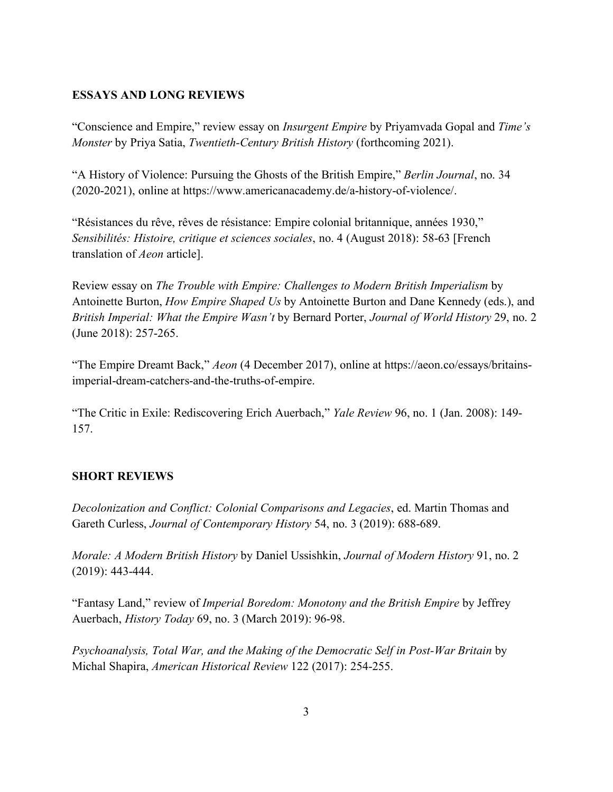## **ESSAYS AND LONG REVIEWS**

"Conscience and Empire," review essay on *Insurgent Empire* by Priyamvada Gopal and *Time's Monster* by Priya Satia, *Twentieth-Century British History* (forthcoming 2021).

"A History of Violence: Pursuing the Ghosts of the British Empire," *Berlin Journal*, no. 34 (2020-2021), online at https://www.americanacademy.de/a-history-of-violence/.

"Résistances du rêve, rêves de résistance: Empire colonial britannique, années 1930," *Sensibilités: Histoire, critique et sciences sociales*, no. 4 (August 2018): 58-63 [French translation of *Aeon* article].

Review essay on *The Trouble with Empire: Challenges to Modern British Imperialism* by Antoinette Burton, *How Empire Shaped Us* by Antoinette Burton and Dane Kennedy (eds.), and *British Imperial: What the Empire Wasn't* by Bernard Porter, *Journal of World History* 29, no. 2 (June 2018): 257-265.

"The Empire Dreamt Back," *Aeon* (4 December 2017), online at https://aeon.co/essays/britainsimperial-dream-catchers-and-the-truths-of-empire.

"The Critic in Exile: Rediscovering Erich Auerbach," *Yale Review* 96, no. 1 (Jan. 2008): 149- 157.

## **SHORT REVIEWS**

*Decolonization and Conflict: Colonial Comparisons and Legacies*, ed. Martin Thomas and Gareth Curless, *Journal of Contemporary History* 54, no. 3 (2019): 688-689.

*Morale: A Modern British History* by Daniel Ussishkin, *Journal of Modern History* 91, no. 2 (2019): 443-444.

"Fantasy Land," review of *Imperial Boredom: Monotony and the British Empire* by Jeffrey Auerbach, *History Today* 69, no. 3 (March 2019): 96-98.

*Psychoanalysis, Total War, and the Making of the Democratic Self in Post-War Britain* by Michal Shapira, *American Historical Review* 122 (2017): 254-255.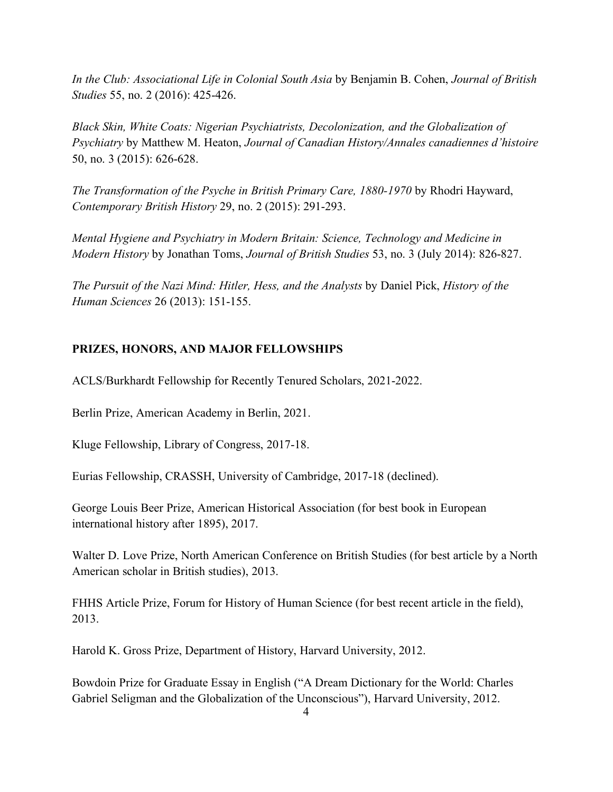*In the Club: Associational Life in Colonial South Asia* by Benjamin B. Cohen, *Journal of British Studies* 55, no. 2 (2016): 425-426.

*Black Skin, White Coats: Nigerian Psychiatrists, Decolonization, and the Globalization of Psychiatry* by Matthew M. Heaton, *Journal of Canadian History/Annales canadiennes d'histoire*  50, no. 3 (2015): 626-628.

*The Transformation of the Psyche in British Primary Care, 1880-1970* by Rhodri Hayward, *Contemporary British History* 29, no. 2 (2015): 291-293.

*Mental Hygiene and Psychiatry in Modern Britain: Science, Technology and Medicine in Modern History* by Jonathan Toms, *Journal of British Studies* 53, no. 3 (July 2014): 826-827.

*The Pursuit of the Nazi Mind: Hitler, Hess, and the Analysts* by Daniel Pick, *History of the Human Sciences* 26 (2013): 151-155.

# **PRIZES, HONORS, AND MAJOR FELLOWSHIPS**

ACLS/Burkhardt Fellowship for Recently Tenured Scholars, 2021-2022.

Berlin Prize, American Academy in Berlin, 2021.

Kluge Fellowship, Library of Congress, 2017-18.

Eurias Fellowship, CRASSH, University of Cambridge, 2017-18 (declined).

George Louis Beer Prize, American Historical Association (for best book in European international history after 1895), 2017.

Walter D. Love Prize, North American Conference on British Studies (for best article by a North American scholar in British studies), 2013.

FHHS Article Prize, Forum for History of Human Science (for best recent article in the field), 2013.

Harold K. Gross Prize, Department of History, Harvard University, 2012.

Bowdoin Prize for Graduate Essay in English ("A Dream Dictionary for the World: Charles Gabriel Seligman and the Globalization of the Unconscious"), Harvard University, 2012.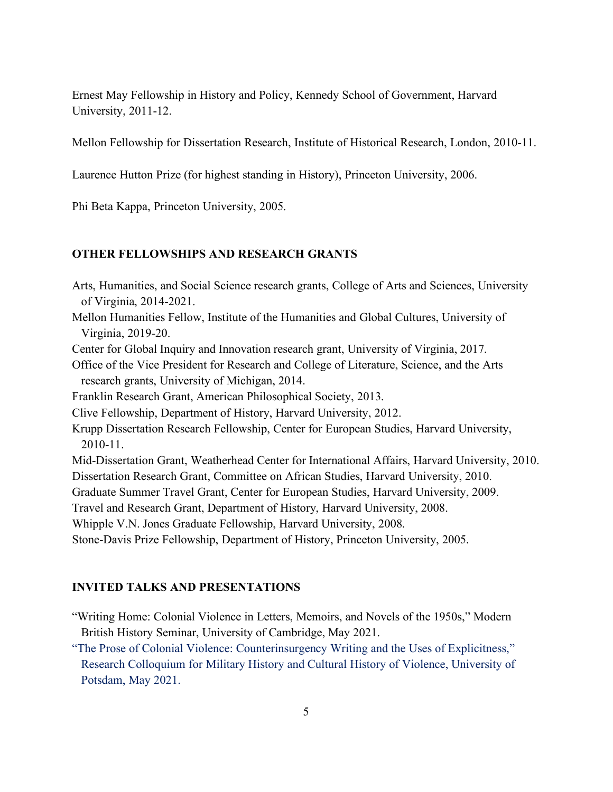Ernest May Fellowship in History and Policy, Kennedy School of Government, Harvard University, 2011-12.

Mellon Fellowship for Dissertation Research, Institute of Historical Research, London, 2010-11.

Laurence Hutton Prize (for highest standing in History), Princeton University, 2006.

Phi Beta Kappa, Princeton University, 2005.

## **OTHER FELLOWSHIPS AND RESEARCH GRANTS**

- Arts, Humanities, and Social Science research grants, College of Arts and Sciences, University of Virginia, 2014-2021.
- Mellon Humanities Fellow, Institute of the Humanities and Global Cultures, University of Virginia, 2019-20.
- Center for Global Inquiry and Innovation research grant, University of Virginia, 2017.
- Office of the Vice President for Research and College of Literature, Science, and the Arts research grants, University of Michigan, 2014.
- Franklin Research Grant, American Philosophical Society, 2013.
- Clive Fellowship, Department of History, Harvard University, 2012.
- Krupp Dissertation Research Fellowship, Center for European Studies, Harvard University, 2010-11.
- Mid-Dissertation Grant, Weatherhead Center for International Affairs, Harvard University, 2010. Dissertation Research Grant, Committee on African Studies, Harvard University, 2010.
- Graduate Summer Travel Grant, Center for European Studies, Harvard University, 2009.

Travel and Research Grant, Department of History, Harvard University, 2008.

Whipple V.N. Jones Graduate Fellowship, Harvard University, 2008.

Stone-Davis Prize Fellowship, Department of History, Princeton University, 2005.

## **INVITED TALKS AND PRESENTATIONS**

- "Writing Home: Colonial Violence in Letters, Memoirs, and Novels of the 1950s," Modern British History Seminar, University of Cambridge, May 2021.
- "The Prose of Colonial Violence: Counterinsurgency Writing and the Uses of Explicitness," Research Colloquium for Military History and Cultural History of Violence, University of Potsdam, May 2021.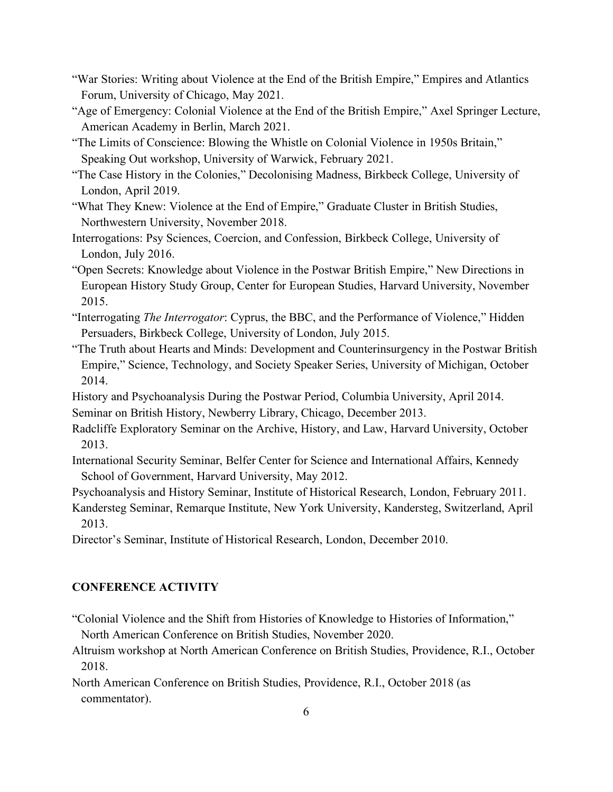- "War Stories: Writing about Violence at the End of the British Empire," Empires and Atlantics Forum, University of Chicago, May 2021.
- "Age of Emergency: Colonial Violence at the End of the British Empire," Axel Springer Lecture, American Academy in Berlin, March 2021.
- "The Limits of Conscience: Blowing the Whistle on Colonial Violence in 1950s Britain," Speaking Out workshop, University of Warwick, February 2021.
- "The Case History in the Colonies," Decolonising Madness, Birkbeck College, University of London, April 2019.
- "What They Knew: Violence at the End of Empire," Graduate Cluster in British Studies, Northwestern University, November 2018.
- Interrogations: Psy Sciences, Coercion, and Confession, Birkbeck College, University of London, July 2016.
- "Open Secrets: Knowledge about Violence in the Postwar British Empire," New Directions in European History Study Group, Center for European Studies, Harvard University, November 2015.
- "Interrogating *The Interrogator*: Cyprus, the BBC, and the Performance of Violence," Hidden Persuaders, Birkbeck College, University of London, July 2015.
- "The Truth about Hearts and Minds: Development and Counterinsurgency in the Postwar British Empire," Science, Technology, and Society Speaker Series, University of Michigan, October 2014.
- History and Psychoanalysis During the Postwar Period, Columbia University, April 2014. Seminar on British History, Newberry Library, Chicago, December 2013.
- Radcliffe Exploratory Seminar on the Archive, History, and Law, Harvard University, October 2013.
- International Security Seminar, Belfer Center for Science and International Affairs, Kennedy School of Government, Harvard University, May 2012.
- Psychoanalysis and History Seminar, Institute of Historical Research, London, February 2011.
- Kandersteg Seminar, Remarque Institute, New York University, Kandersteg, Switzerland, April 2013.
- Director's Seminar, Institute of Historical Research, London, December 2010.

## **CONFERENCE ACTIVITY**

- "Colonial Violence and the Shift from Histories of Knowledge to Histories of Information," North American Conference on British Studies, November 2020.
- Altruism workshop at North American Conference on British Studies, Providence, R.I., October 2018.
- North American Conference on British Studies, Providence, R.I., October 2018 (as commentator).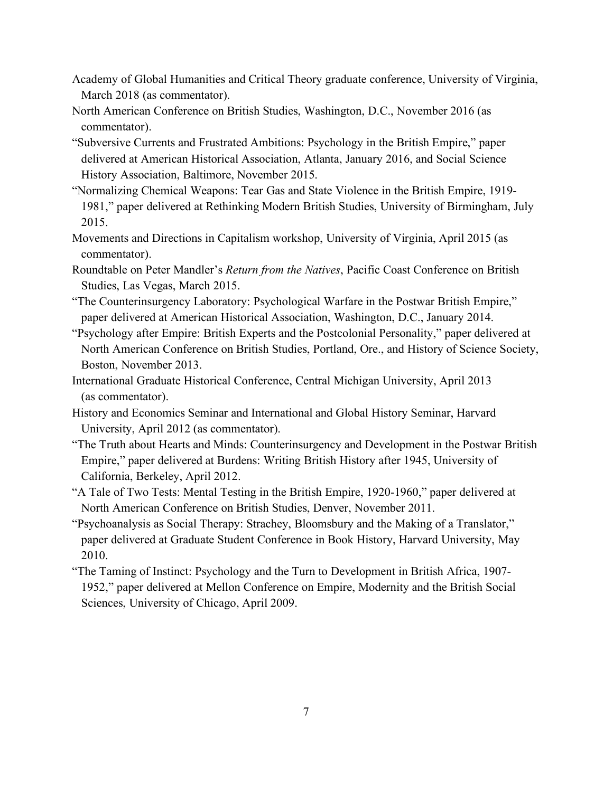- Academy of Global Humanities and Critical Theory graduate conference, University of Virginia, March 2018 (as commentator).
- North American Conference on British Studies, Washington, D.C., November 2016 (as commentator).
- "Subversive Currents and Frustrated Ambitions: Psychology in the British Empire," paper delivered at American Historical Association, Atlanta, January 2016, and Social Science History Association, Baltimore, November 2015.
- "Normalizing Chemical Weapons: Tear Gas and State Violence in the British Empire, 1919- 1981," paper delivered at Rethinking Modern British Studies, University of Birmingham, July 2015.
- Movements and Directions in Capitalism workshop, University of Virginia, April 2015 (as commentator).
- Roundtable on Peter Mandler's *Return from the Natives*, Pacific Coast Conference on British Studies, Las Vegas, March 2015.
- "The Counterinsurgency Laboratory: Psychological Warfare in the Postwar British Empire," paper delivered at American Historical Association, Washington, D.C., January 2014.
- "Psychology after Empire: British Experts and the Postcolonial Personality," paper delivered at North American Conference on British Studies, Portland, Ore., and History of Science Society, Boston, November 2013.
- International Graduate Historical Conference, Central Michigan University, April 2013 (as commentator).
- History and Economics Seminar and International and Global History Seminar, Harvard University, April 2012 (as commentator).
- "The Truth about Hearts and Minds: Counterinsurgency and Development in the Postwar British Empire," paper delivered at Burdens: Writing British History after 1945, University of California, Berkeley, April 2012.
- "A Tale of Two Tests: Mental Testing in the British Empire, 1920-1960," paper delivered at North American Conference on British Studies, Denver, November 2011.
- "Psychoanalysis as Social Therapy: Strachey, Bloomsbury and the Making of a Translator," paper delivered at Graduate Student Conference in Book History, Harvard University, May 2010.
- "The Taming of Instinct: Psychology and the Turn to Development in British Africa, 1907- 1952," paper delivered at Mellon Conference on Empire, Modernity and the British Social Sciences, University of Chicago, April 2009.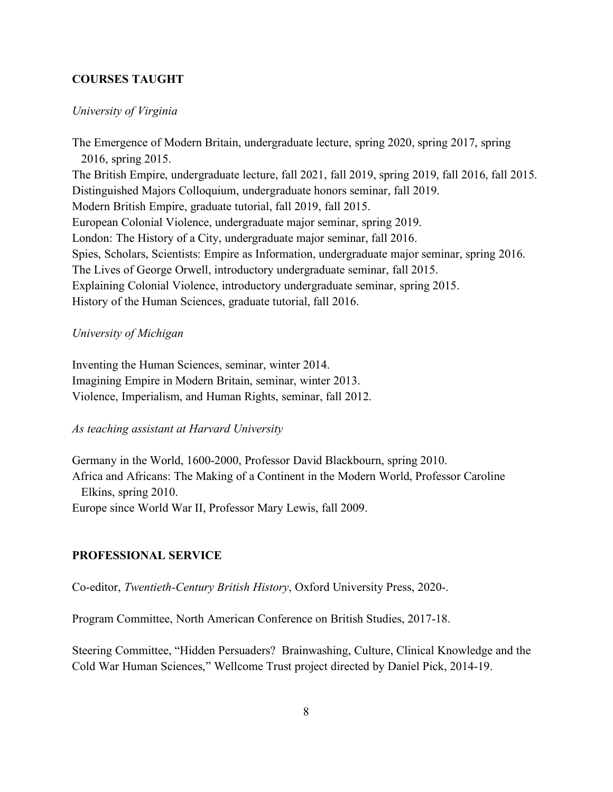## **COURSES TAUGHT**

#### *University of Virginia*

The Emergence of Modern Britain, undergraduate lecture, spring 2020, spring 2017, spring 2016, spring 2015. The British Empire, undergraduate lecture, fall 2021, fall 2019, spring 2019, fall 2016, fall 2015. Distinguished Majors Colloquium, undergraduate honors seminar, fall 2019. Modern British Empire, graduate tutorial, fall 2019, fall 2015. European Colonial Violence, undergraduate major seminar, spring 2019. London: The History of a City, undergraduate major seminar, fall 2016. Spies, Scholars, Scientists: Empire as Information, undergraduate major seminar, spring 2016. The Lives of George Orwell, introductory undergraduate seminar, fall 2015. Explaining Colonial Violence, introductory undergraduate seminar, spring 2015. History of the Human Sciences, graduate tutorial, fall 2016.

#### *University of Michigan*

Inventing the Human Sciences, seminar, winter 2014. Imagining Empire in Modern Britain, seminar, winter 2013. Violence, Imperialism, and Human Rights, seminar, fall 2012.

## *As teaching assistant at Harvard University*

Germany in the World, 1600-2000, Professor David Blackbourn, spring 2010. Africa and Africans: The Making of a Continent in the Modern World, Professor Caroline Elkins, spring 2010. Europe since World War II, Professor Mary Lewis, fall 2009.

#### **PROFESSIONAL SERVICE**

Co-editor, *Twentieth-Century British History*, Oxford University Press, 2020-.

Program Committee, North American Conference on British Studies, 2017-18.

Steering Committee, "Hidden Persuaders? Brainwashing, Culture, Clinical Knowledge and the Cold War Human Sciences," Wellcome Trust project directed by Daniel Pick, 2014-19.